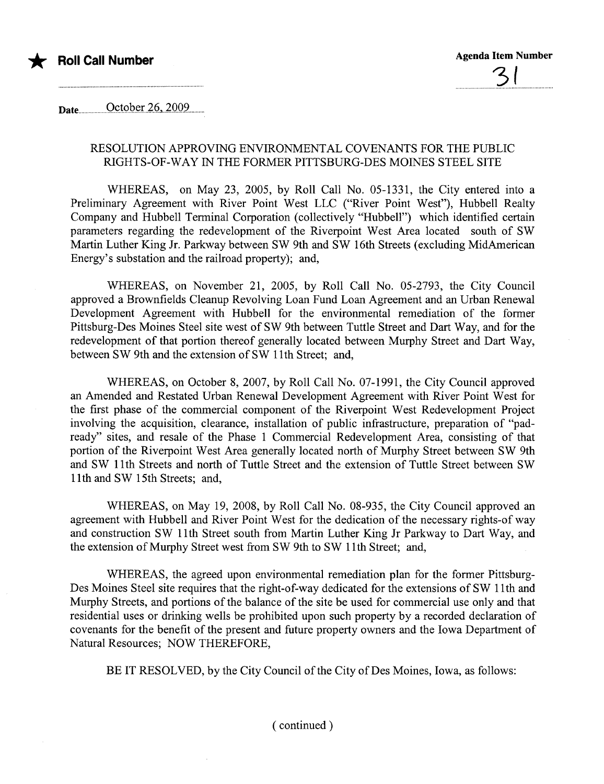

Date.........Q.çt,QQ.t:r..i.Q.,..i'OO'9.....

## RESOLUTION APPROVING ENVIRONMENTAL COVENANTS FOR THE PUBLIC RIGHTS-OF- WAY IN THE FORMER PITTSBURG-DES MOINES STEEL SITE

WHEREAS, on May 23, 2005, by Roll Call No. 05-1331, the City entered into a Preliminary Agreement with River Point West LLC ("River Point West"), Hubbell Realty Company and Hubbell Terminal Corporation (collectively "Hubbell") which identified certain parameters regarding the redevelopment of the Riverpoint West Area located south of SW Martin Luther King Jr. Parkway between SW 9th and SW 16th Streets (excluding MidAmerican Energy's substation and the railroad property); and,

WHEREAS, on November 21, 2005, by Roll Call No. 05-2793, the City Council approved a Brownfields Cleanup Revolving Loan Fund Loan Agreement and an Urban Renewal Development Agreement with Hubbell for the environmental remediation of the former Pittsburg-Des Moines Steel site west of SW 9th between Tuttle Street and Dart Way, and for the redevelopment of that portion thereof generally located between Murphy Street and Dart Way, between SW 9th and the extension of SW 11th Street; and,

WHEREAS, on October 8, 2007, by Roll Call No. 07-1991, the City Council approved an Amended and Restated Urban Renewal Development Agreement with River Point West for the first phase of the commercial component of the Riverpoint West Redevelopment Project involving the acquisition, clearance, installation of public infrastructure, preparation of "padready" sites, and resale of the Phase 1 Commercial Redevelopment Area, consisting of that portion of the Riverpoint West Area generally located north of Murphy Street between SW 9th and SW 11th Streets and north of Tuttle Street and the extension of Tuttle Street between SW 11th and SW 15th Streets; and,

WHEREAS, on May 19, 2008, by Roll Call No. 08-935, the City Council approved an agreement with Hubbell and River Point West for the dedication of the necessary rights-of way and construction SW 11th Street south from Martin Luther King Ir Parkway to Dart Way, and the extension of Murhy Street west from SW 9th to SW 11th Street; and,

WHEREAS, the agreed upon environmental remediation plan for the former Pittsburg-Des Moines Steel site requires that the right-of-way dedicated for the extensions of SW 11th and Murphy Streets, and portions of the balance of the site be used for commercial use only and that residential uses or drinking wells be prohibited upon such property by a recorded declaration of covenants for the benefit of the present and future property owners and the Iowa Department of Natural Resources; NOW THEREFORE,

BE IT RESOLVED, by the City Council of the City of Des Moines, Iowa, as follows: